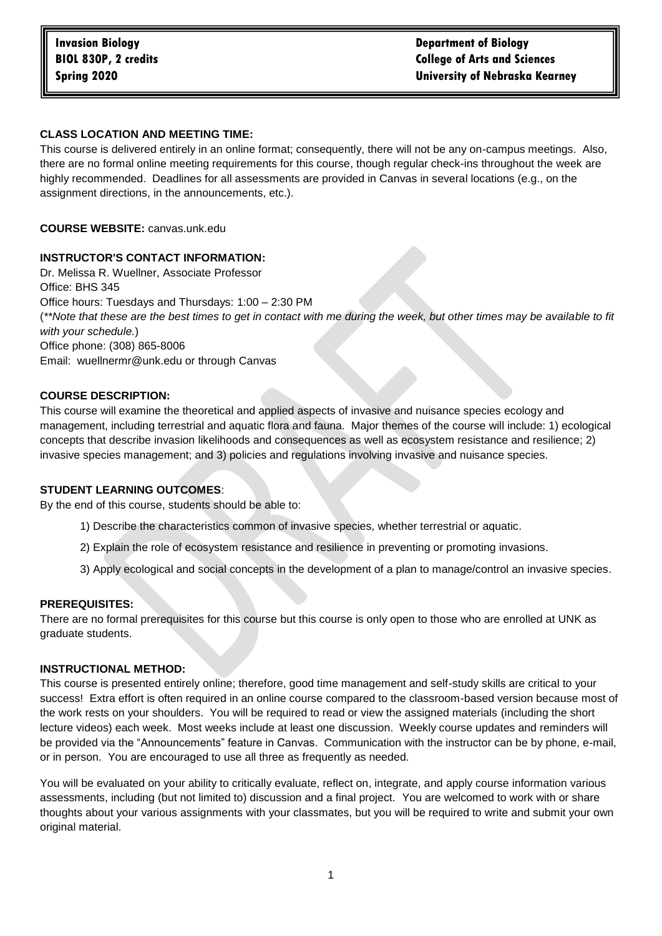# **CLASS LOCATION AND MEETING TIME:**

This course is delivered entirely in an online format; consequently, there will not be any on-campus meetings. Also, there are no formal online meeting requirements for this course, though regular check-ins throughout the week are highly recommended. Deadlines for all assessments are provided in Canvas in several locations (e.g., on the assignment directions, in the announcements, etc.).

# **COURSE WEBSITE:** canvas.unk.edu

# **INSTRUCTOR'S CONTACT INFORMATION:**

Dr. Melissa R. Wuellner, Associate Professor Office: BHS 345 Office hours: Tuesdays and Thursdays: 1:00 – 2:30 PM (*\*\*Note that these are the best times to get in contact with me during the week, but other times may be available to fit with your schedule.*) Office phone: (308) 865-8006 Email: wuellnermr@unk.edu or through Canvas

### **COURSE DESCRIPTION:**

This course will examine the theoretical and applied aspects of invasive and nuisance species ecology and management, including terrestrial and aquatic flora and fauna. Major themes of the course will include: 1) ecological concepts that describe invasion likelihoods and consequences as well as ecosystem resistance and resilience; 2) invasive species management; and 3) policies and regulations involving invasive and nuisance species.

#### **STUDENT LEARNING OUTCOMES**:

By the end of this course, students should be able to:

- 1) Describe the characteristics common of invasive species, whether terrestrial or aquatic.
- 2) Explain the role of ecosystem resistance and resilience in preventing or promoting invasions.
- 3) Apply ecological and social concepts in the development of a plan to manage/control an invasive species.

#### **PREREQUISITES:**

There are no formal prerequisites for this course but this course is only open to those who are enrolled at UNK as graduate students.

# **INSTRUCTIONAL METHOD:**

This course is presented entirely online; therefore, good time management and self-study skills are critical to your success! Extra effort is often required in an online course compared to the classroom-based version because most of the work rests on your shoulders. You will be required to read or view the assigned materials (including the short lecture videos) each week. Most weeks include at least one discussion. Weekly course updates and reminders will be provided via the "Announcements" feature in Canvas. Communication with the instructor can be by phone, e-mail, or in person. You are encouraged to use all three as frequently as needed.

You will be evaluated on your ability to critically evaluate, reflect on, integrate, and apply course information various assessments, including (but not limited to) discussion and a final project. You are welcomed to work with or share thoughts about your various assignments with your classmates, but you will be required to write and submit your own original material.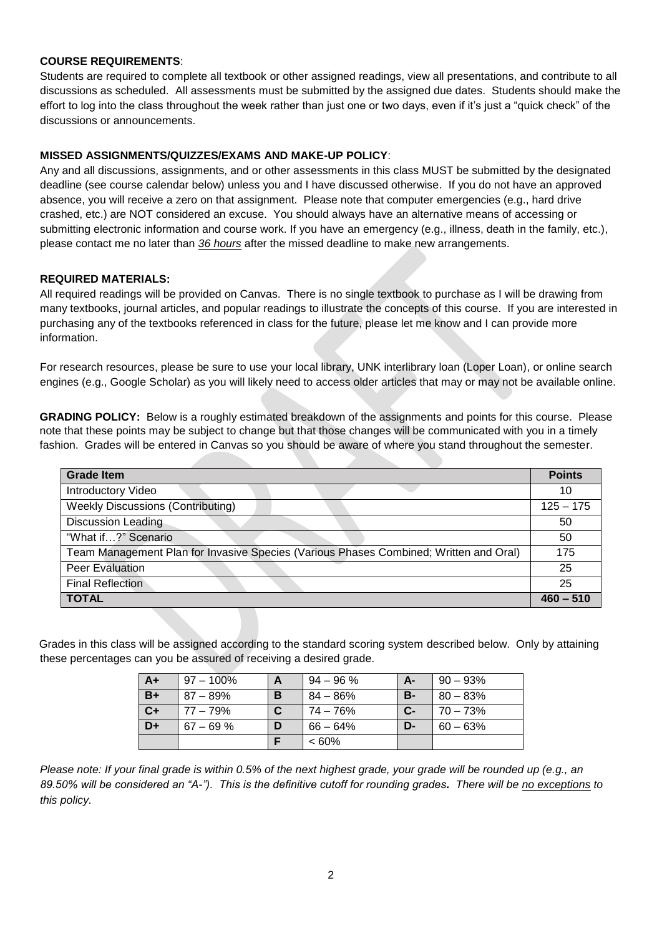# **COURSE REQUIREMENTS**:

Students are required to complete all textbook or other assigned readings, view all presentations, and contribute to all discussions as scheduled. All assessments must be submitted by the assigned due dates. Students should make the effort to log into the class throughout the week rather than just one or two days, even if it's just a "quick check" of the discussions or announcements.

### **MISSED ASSIGNMENTS/QUIZZES/EXAMS AND MAKE-UP POLICY**:

Any and all discussions, assignments, and or other assessments in this class MUST be submitted by the designated deadline (see course calendar below) unless you and I have discussed otherwise. If you do not have an approved absence, you will receive a zero on that assignment. Please note that computer emergencies (e.g., hard drive crashed, etc.) are NOT considered an excuse. You should always have an alternative means of accessing or submitting electronic information and course work. If you have an emergency (e.g., illness, death in the family, etc.), please contact me no later than *36 hours* after the missed deadline to make new arrangements.

### **REQUIRED MATERIALS:**

All required readings will be provided on Canvas. There is no single textbook to purchase as I will be drawing from many textbooks, journal articles, and popular readings to illustrate the concepts of this course. If you are interested in purchasing any of the textbooks referenced in class for the future, please let me know and I can provide more information.

For research resources, please be sure to use your local library, UNK interlibrary loan (Loper Loan), or online search engines (e.g., Google Scholar) as you will likely need to access older articles that may or may not be available online.

**GRADING POLICY:** Below is a roughly estimated breakdown of the assignments and points for this course. Please note that these points may be subject to change but that those changes will be communicated with you in a timely fashion. Grades will be entered in Canvas so you should be aware of where you stand throughout the semester.

| Grade Item                                                                            | <b>Points</b> |
|---------------------------------------------------------------------------------------|---------------|
| Introductory Video                                                                    | 10            |
| <b>Weekly Discussions (Contributing)</b>                                              | $125 - 175$   |
| <b>Discussion Leading</b>                                                             | 50            |
| "What if?" Scenario                                                                   | 50            |
| Team Management Plan for Invasive Species (Various Phases Combined; Written and Oral) | 175           |
| Peer Evaluation                                                                       | 25            |
| <b>Final Reflection</b>                                                               | 25            |
| <b>TOTAL</b>                                                                          | $460 - 510$   |

Grades in this class will be assigned according to the standard scoring system described below. Only by attaining these percentages can you be assured of receiving a desired grade.

| A+   | $97 - 100\%$ | A | $94 - 96 \%$ | A-        | $90 - 93%$  |
|------|--------------|---|--------------|-----------|-------------|
| $B+$ | $87 - 89\%$  | B | 84 – 86%     | <b>B-</b> | $80 - 83%$  |
| $C+$ | 77 – 79%     | C | 74 – 76%     | $C-$      | $70 - 73%$  |
| D+   | $67 - 69%$   | D | $66 - 64\%$  | D-        | $60 - 63\%$ |
|      |              |   | $<60\%$      |           |             |

*Please note: If your final grade is within 0.5% of the next highest grade, your grade will be rounded up (e.g., an 89.50% will be considered an "A-"). This is the definitive cutoff for rounding grades. There will be no exceptions to this policy.*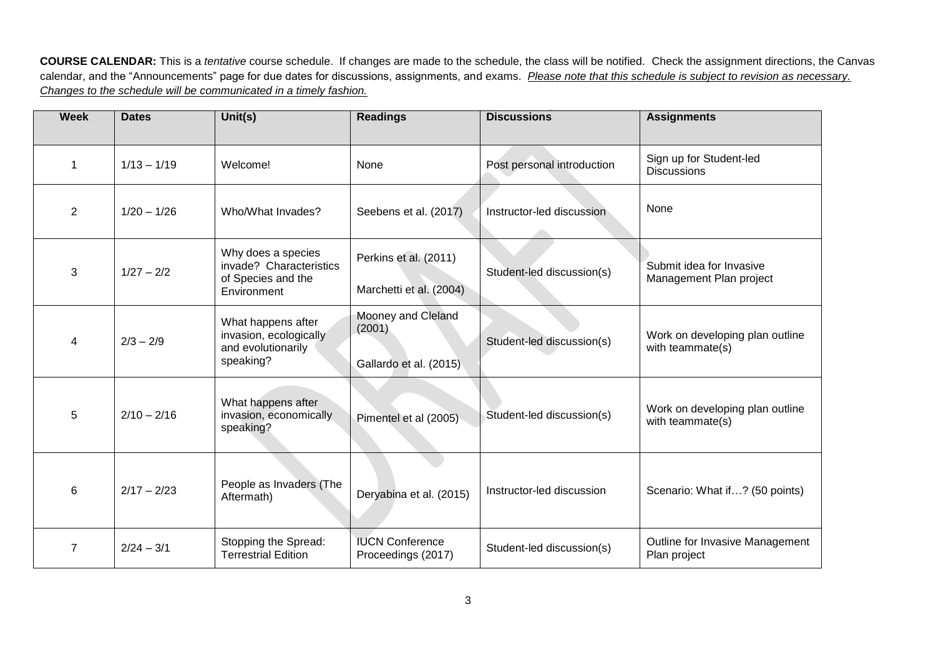**COURSE CALENDAR:** This is a *tentative* course schedule. If changes are made to the schedule, the class will be notified. Check the assignment directions, the Canvas calendar, and the "Announcements" page for due dates for discussions, assignments, and exams. *Please note that this schedule is subject to revision as necessary. Changes to the schedule will be communicated in a timely fashion.*

| <b>Week</b>    | <b>Dates</b>  | Unit(s)                                                                            | <b>Readings</b>                                        | <b>Discussions</b>         | <b>Assignments</b>                                  |
|----------------|---------------|------------------------------------------------------------------------------------|--------------------------------------------------------|----------------------------|-----------------------------------------------------|
| $\mathbf{1}$   | $1/13 - 1/19$ | Welcome!                                                                           | None                                                   | Post personal introduction | Sign up for Student-led<br><b>Discussions</b>       |
| $\overline{2}$ | $1/20 - 1/26$ | Who/What Invades?                                                                  | Seebens et al. (2017)                                  | Instructor-led discussion  | None                                                |
| 3              | $1/27 - 2/2$  | Why does a species<br>invade? Characteristics<br>of Species and the<br>Environment | Perkins et al. (2011)<br>Marchetti et al. (2004)       | Student-led discussion(s)  | Submit idea for Invasive<br>Management Plan project |
| 4              | $2/3 - 2/9$   | What happens after<br>invasion, ecologically<br>and evolutionarily<br>speaking?    | Mooney and Cleland<br>(2001)<br>Gallardo et al. (2015) | Student-led discussion(s)  | Work on developing plan outline<br>with teammate(s) |
| 5              | $2/10 - 2/16$ | What happens after<br>invasion, economically<br>speaking?                          | Pimentel et al (2005)                                  | Student-led discussion(s)  | Work on developing plan outline<br>with teammate(s) |
| 6              | $2/17 - 2/23$ | People as Invaders (The<br>Aftermath)                                              | Deryabina et al. (2015)                                | Instructor-led discussion  | Scenario: What if? (50 points)                      |
| 7              | $2/24 - 3/1$  | Stopping the Spread:<br><b>Terrestrial Edition</b>                                 | <b>IUCN Conference</b><br>Proceedings (2017)           | Student-led discussion(s)  | Outline for Invasive Management<br>Plan project     |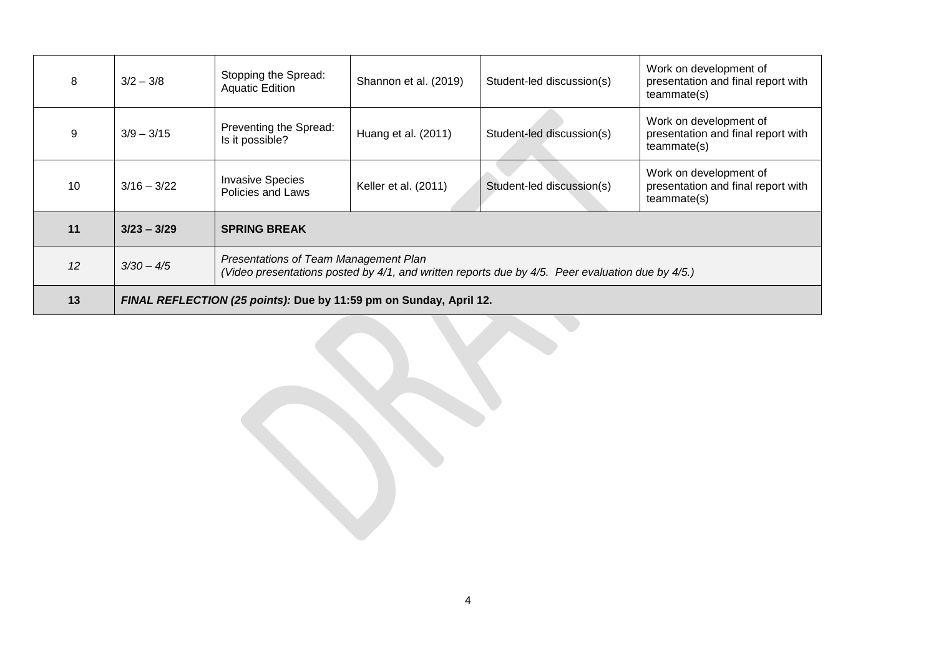| 8  | $3/2 - 3/8$                                                        | Stopping the Spread:<br><b>Aquatic Edition</b>                                                                                            | Shannon et al. (2019) | Student-led discussion(s) | Work on development of<br>presentation and final report with<br>teammate(s) |  |
|----|--------------------------------------------------------------------|-------------------------------------------------------------------------------------------------------------------------------------------|-----------------------|---------------------------|-----------------------------------------------------------------------------|--|
| 9  | $3/9 - 3/15$                                                       | Preventing the Spread:<br>Is it possible?                                                                                                 | Huang et al. (2011)   | Student-led discussion(s) | Work on development of<br>presentation and final report with<br>teammate(s) |  |
| 10 | $3/16 - 3/22$                                                      | <b>Invasive Species</b><br>Policies and Laws                                                                                              | Keller et al. (2011)  | Student-led discussion(s) | Work on development of<br>presentation and final report with<br>teammate(s) |  |
| 11 | $3/23 - 3/29$                                                      | <b>SPRING BREAK</b>                                                                                                                       |                       |                           |                                                                             |  |
| 12 | $3/30 - 4/5$                                                       | Presentations of Team Management Plan<br>(Video presentations posted by 4/1, and written reports due by 4/5. Peer evaluation due by 4/5.) |                       |                           |                                                                             |  |
| 13 | FINAL REFLECTION (25 points): Due by 11:59 pm on Sunday, April 12. |                                                                                                                                           |                       |                           |                                                                             |  |